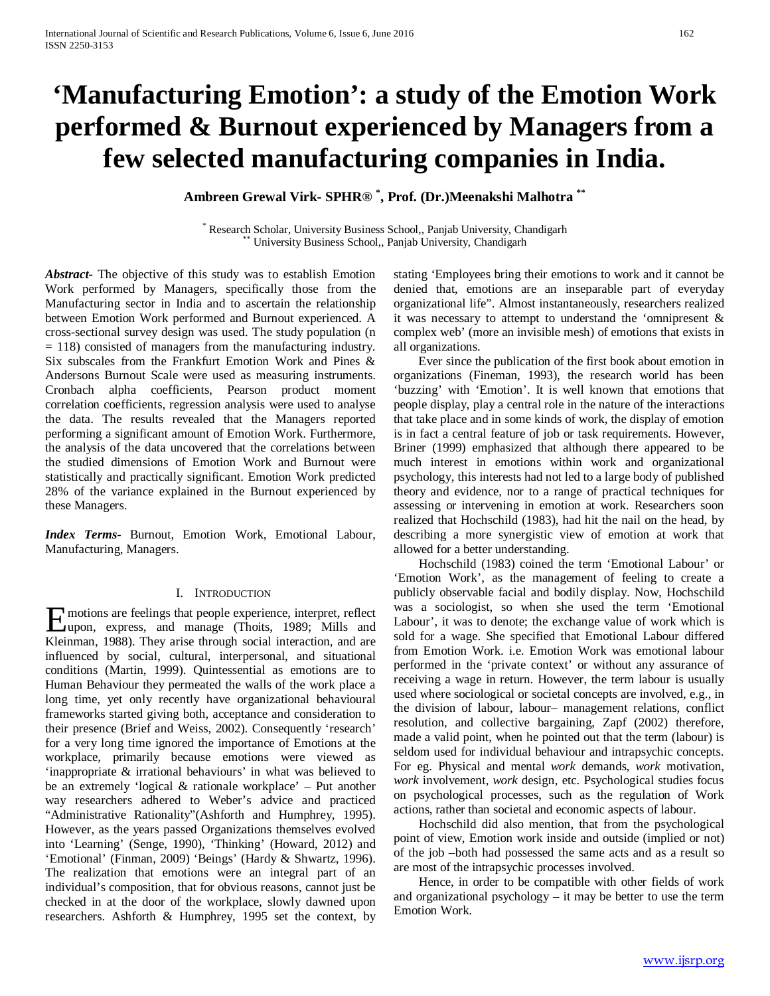# **'Manufacturing Emotion': a study of the Emotion Work performed & Burnout experienced by Managers from a few selected manufacturing companies in India.**

**Ambreen Grewal Virk- SPHR® \* , Prof. (Dr.)Meenakshi Malhotra \*\***

\* Research Scholar, University Business School,, Panjab University, Chandigarh \*\* University Business School,, Panjab University, Chandigarh

*Abstract***-** The objective of this study was to establish Emotion Work performed by Managers, specifically those from the Manufacturing sector in India and to ascertain the relationship between Emotion Work performed and Burnout experienced. A cross-sectional survey design was used. The study population (n = 118) consisted of managers from the manufacturing industry. Six subscales from the Frankfurt Emotion Work and Pines & Andersons Burnout Scale were used as measuring instruments. Cronbach alpha coefficients, Pearson product moment correlation coefficients, regression analysis were used to analyse the data. The results revealed that the Managers reported performing a significant amount of Emotion Work. Furthermore, the analysis of the data uncovered that the correlations between the studied dimensions of Emotion Work and Burnout were statistically and practically significant. Emotion Work predicted 28% of the variance explained in the Burnout experienced by these Managers.

*Index Terms*- Burnout, Emotion Work, Emotional Labour, Manufacturing, Managers.

### I. INTRODUCTION

motions are feelings that people experience, interpret, reflect **EXECUTE:** motions are feelings that people experience, interpret, reflect upon, express, and manage (Thoits, 1989; Mills and  $K1$ ; incompared 1989). Kleinman, 1988). They arise through social interaction, and are influenced by social, cultural, interpersonal, and situational conditions (Martin, 1999). Quintessential as emotions are to Human Behaviour they permeated the walls of the work place a long time, yet only recently have organizational behavioural frameworks started giving both, acceptance and consideration to their presence (Brief and Weiss, 2002). Consequently 'research' for a very long time ignored the importance of Emotions at the workplace, primarily because emotions were viewed as 'inappropriate & irrational behaviours' in what was believed to be an extremely 'logical & rationale workplace' – Put another way researchers adhered to Weber's advice and practiced "Administrative Rationality"(Ashforth and Humphrey, 1995). However, as the years passed Organizations themselves evolved into 'Learning' (Senge, 1990), 'Thinking' (Howard, 2012) and 'Emotional' (Finman, 2009) 'Beings' (Hardy & Shwartz, 1996). The realization that emotions were an integral part of an individual's composition, that for obvious reasons, cannot just be checked in at the door of the workplace, slowly dawned upon researchers. Ashforth & Humphrey, 1995 set the context, by

stating 'Employees bring their emotions to work and it cannot be denied that, emotions are an inseparable part of everyday organizational life". Almost instantaneously, researchers realized it was necessary to attempt to understand the 'omnipresent & complex web' (more an invisible mesh) of emotions that exists in all organizations.

 Ever since the publication of the first book about emotion in organizations (Fineman, 1993), the research world has been 'buzzing' with 'Emotion'. It is well known that emotions that people display, play a central role in the nature of the interactions that take place and in some kinds of work, the display of emotion is in fact a central feature of job or task requirements. However, Briner (1999) emphasized that although there appeared to be much interest in emotions within work and organizational psychology, this interests had not led to a large body of published theory and evidence, nor to a range of practical techniques for assessing or intervening in emotion at work. Researchers soon realized that Hochschild (1983), had hit the nail on the head, by describing a more synergistic view of emotion at work that allowed for a better understanding.

 Hochschild (1983) coined the term 'Emotional Labour' or 'Emotion Work', as the management of feeling to create a publicly observable facial and bodily display. Now, Hochschild was a sociologist, so when she used the term 'Emotional Labour', it was to denote; the exchange value of work which is sold for a wage. She specified that Emotional Labour differed from Emotion Work. i.e. Emotion Work was emotional labour performed in the 'private context' or without any assurance of receiving a wage in return. However, the term labour is usually used where sociological or societal concepts are involved, e.g., in the division of labour, labour– management relations, conflict resolution, and collective bargaining, Zapf (2002) therefore, made a valid point, when he pointed out that the term (labour) is seldom used for individual behaviour and intrapsychic concepts. For eg. Physical and mental *work* demands, *work* motivation, *work* involvement, *work* design, etc. Psychological studies focus on psychological processes, such as the regulation of Work actions, rather than societal and economic aspects of labour.

 Hochschild did also mention, that from the psychological point of view, Emotion work inside and outside (implied or not) of the job –both had possessed the same acts and as a result so are most of the intrapsychic processes involved.

 Hence, in order to be compatible with other fields of work and organizational psychology – it may be better to use the term Emotion Work.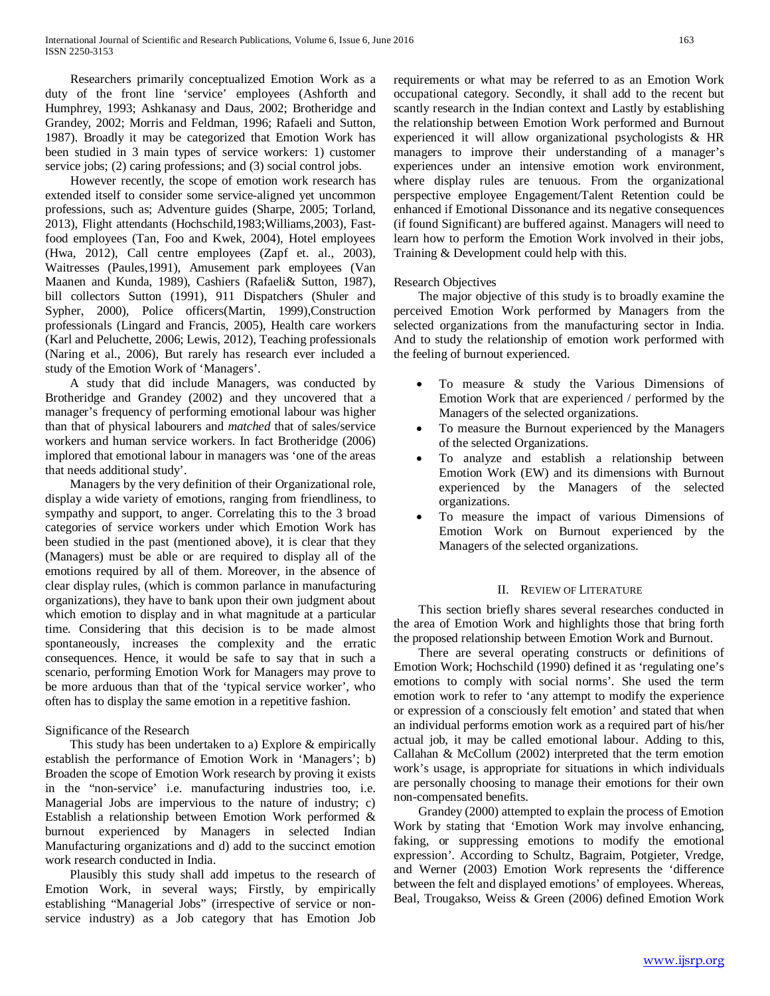Researchers primarily conceptualized Emotion Work as a duty of the front line 'service' employees (Ashforth and Humphrey, 1993; Ashkanasy and Daus, 2002; Brotheridge and Grandey, 2002; Morris and Feldman, 1996; Rafaeli and Sutton, 1987). Broadly it may be categorized that Emotion Work has been studied in 3 main types of service workers: 1) customer service jobs; (2) caring professions; and (3) social control jobs.

 However recently, the scope of emotion work research has extended itself to consider some service-aligned yet uncommon professions, such as; Adventure guides (Sharpe, 2005; Torland, 2013), Flight attendants (Hochschild,1983;Williams,2003), Fastfood employees (Tan, Foo and Kwek, 2004), Hotel employees (Hwa, 2012), Call centre employees (Zapf et. al., 2003), Waitresses (Paules,1991), Amusement park employees (Van Maanen and Kunda, 1989), Cashiers (Rafaeli& Sutton, 1987), bill collectors Sutton (1991), 911 Dispatchers (Shuler and Sypher, 2000), Police officers(Martin, 1999),Construction professionals (Lingard and Francis, 2005), Health care workers (Karl and Peluchette, 2006; Lewis, 2012), Teaching professionals (Naring et al., 2006), But rarely has research ever included a study of the Emotion Work of 'Managers'.

 A study that did include Managers, was conducted by Brotheridge and Grandey (2002) and they uncovered that a manager's frequency of performing emotional labour was higher than that of physical labourers and *matched* that of sales/service workers and human service workers. In fact Brotheridge (2006) implored that emotional labour in managers was 'one of the areas that needs additional study'.

 Managers by the very definition of their Organizational role, display a wide variety of emotions, ranging from friendliness, to sympathy and support, to anger. Correlating this to the 3 broad categories of service workers under which Emotion Work has been studied in the past (mentioned above), it is clear that they (Managers) must be able or are required to display all of the emotions required by all of them. Moreover, in the absence of clear display rules, (which is common parlance in manufacturing organizations), they have to bank upon their own judgment about which emotion to display and in what magnitude at a particular time. Considering that this decision is to be made almost spontaneously, increases the complexity and the erratic consequences. Hence, it would be safe to say that in such a scenario, performing Emotion Work for Managers may prove to be more arduous than that of the 'typical service worker', who often has to display the same emotion in a repetitive fashion.

## Significance of the Research

 This study has been undertaken to a) Explore & empirically establish the performance of Emotion Work in 'Managers'; b) Broaden the scope of Emotion Work research by proving it exists in the "non-service' i.e. manufacturing industries too, i.e. Managerial Jobs are impervious to the nature of industry; c) Establish a relationship between Emotion Work performed & burnout experienced by Managers in selected Indian Manufacturing organizations and d) add to the succinct emotion work research conducted in India.

 Plausibly this study shall add impetus to the research of Emotion Work, in several ways; Firstly, by empirically establishing "Managerial Jobs" (irrespective of service or nonservice industry) as a Job category that has Emotion Job

requirements or what may be referred to as an Emotion Work occupational category. Secondly, it shall add to the recent but scantly research in the Indian context and Lastly by establishing the relationship between Emotion Work performed and Burnout experienced it will allow organizational psychologists & HR managers to improve their understanding of a manager's experiences under an intensive emotion work environment, where display rules are tenuous. From the organizational perspective employee Engagement/Talent Retention could be enhanced if Emotional Dissonance and its negative consequences (if found Significant) are buffered against. Managers will need to learn how to perform the Emotion Work involved in their jobs, Training & Development could help with this.

## Research Objectives

 The major objective of this study is to broadly examine the perceived Emotion Work performed by Managers from the selected organizations from the manufacturing sector in India. And to study the relationship of emotion work performed with the feeling of burnout experienced.

- To measure & study the Various Dimensions of Emotion Work that are experienced / performed by the Managers of the selected organizations.
- To measure the Burnout experienced by the Managers of the selected Organizations.
- To analyze and establish a relationship between Emotion Work (EW) and its dimensions with Burnout experienced by the Managers of the selected organizations.
- To measure the impact of various Dimensions of Emotion Work on Burnout experienced by the Managers of the selected organizations.

## II. REVIEW OF LITERATURE

 This section briefly shares several researches conducted in the area of Emotion Work and highlights those that bring forth the proposed relationship between Emotion Work and Burnout.

 There are several operating constructs or definitions of Emotion Work; Hochschild (1990) defined it as 'regulating one's emotions to comply with social norms'. She used the term emotion work to refer to 'any attempt to modify the experience or expression of a consciously felt emotion' and stated that when an individual performs emotion work as a required part of his/her actual job, it may be called emotional labour. Adding to this, Callahan & McCollum (2002) interpreted that the term emotion work's usage, is appropriate for situations in which individuals are personally choosing to manage their emotions for their own non-compensated benefits.

 Grandey (2000) attempted to explain the process of Emotion Work by stating that 'Emotion Work may involve enhancing, faking, or suppressing emotions to modify the emotional expression'. According to Schultz, Bagraim, Potgieter, Vredge, and Werner (2003) Emotion Work represents the 'difference between the felt and displayed emotions' of employees. Whereas, Beal, Trougakso, Weiss & Green (2006) defined Emotion Work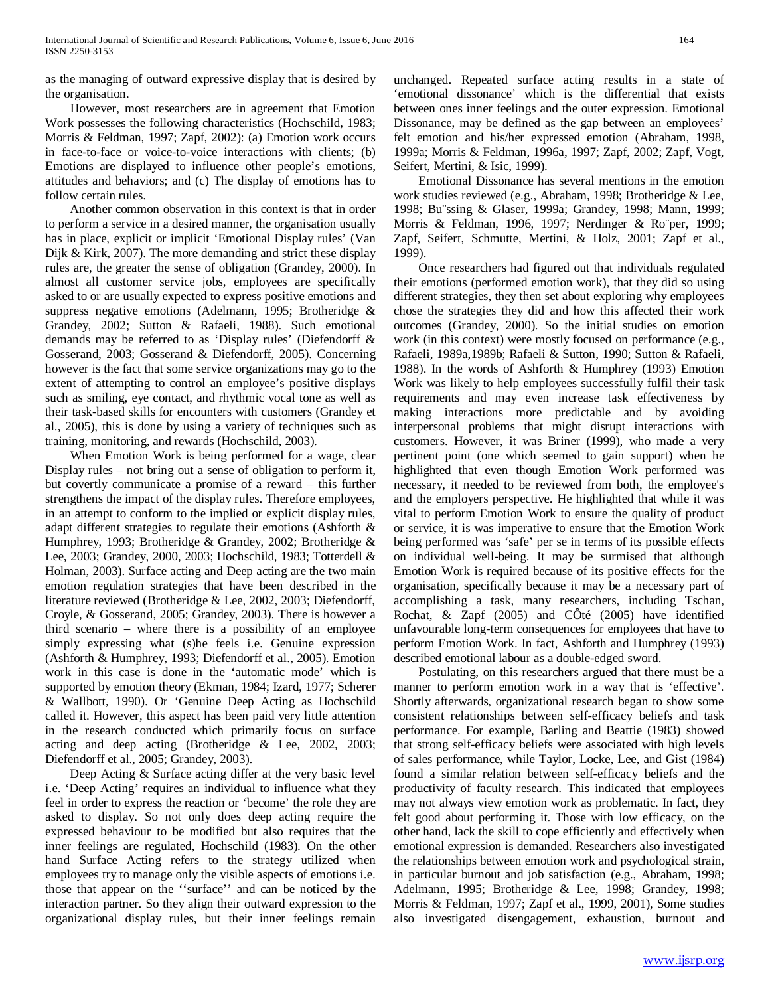as the managing of outward expressive display that is desired by the organisation.

 However, most researchers are in agreement that Emotion Work possesses the following characteristics (Hochschild, 1983; Morris & Feldman, 1997; Zapf, 2002): (a) Emotion work occurs in face-to-face or voice-to-voice interactions with clients; (b) Emotions are displayed to influence other people's emotions, attitudes and behaviors; and (c) The display of emotions has to follow certain rules.

 Another common observation in this context is that in order to perform a service in a desired manner, the organisation usually has in place, explicit or implicit 'Emotional Display rules' (Van Dijk & Kirk, 2007). The more demanding and strict these display rules are, the greater the sense of obligation (Grandey, 2000). In almost all customer service jobs, employees are specifically asked to or are usually expected to express positive emotions and suppress negative emotions (Adelmann, 1995; Brotheridge & Grandey, 2002; Sutton & Rafaeli, 1988). Such emotional demands may be referred to as 'Display rules' (Diefendorff & Gosserand, 2003; Gosserand & Diefendorff, 2005). Concerning however is the fact that some service organizations may go to the extent of attempting to control an employee's positive displays such as smiling, eye contact, and rhythmic vocal tone as well as their task-based skills for encounters with customers (Grandey et al., 2005), this is done by using a variety of techniques such as training, monitoring, and rewards (Hochschild, 2003).

 When Emotion Work is being performed for a wage, clear Display rules – not bring out a sense of obligation to perform it, but covertly communicate a promise of a reward – this further strengthens the impact of the display rules. Therefore employees, in an attempt to conform to the implied or explicit display rules, adapt different strategies to regulate their emotions (Ashforth & Humphrey, 1993; Brotheridge & Grandey, 2002; Brotheridge & Lee, 2003; Grandey, 2000, 2003; Hochschild, 1983; Totterdell & Holman, 2003). Surface acting and Deep acting are the two main emotion regulation strategies that have been described in the literature reviewed (Brotheridge & Lee, 2002, 2003; Diefendorff, Croyle, & Gosserand, 2005; Grandey, 2003). There is however a third scenario – where there is a possibility of an employee simply expressing what (s)he feels i.e. Genuine expression (Ashforth & Humphrey, 1993; Diefendorff et al., 2005). Emotion work in this case is done in the 'automatic mode' which is supported by emotion theory (Ekman, 1984; Izard, 1977; Scherer & Wallbott, 1990). Or 'Genuine Deep Acting as Hochschild called it. However, this aspect has been paid very little attention in the research conducted which primarily focus on surface acting and deep acting (Brotheridge & Lee, 2002, 2003; Diefendorff et al., 2005; Grandey, 2003).

 Deep Acting & Surface acting differ at the very basic level i.e. 'Deep Acting' requires an individual to influence what they feel in order to express the reaction or 'become' the role they are asked to display. So not only does deep acting require the expressed behaviour to be modified but also requires that the inner feelings are regulated, Hochschild (1983). On the other hand Surface Acting refers to the strategy utilized when employees try to manage only the visible aspects of emotions i.e. those that appear on the ''surface'' and can be noticed by the interaction partner. So they align their outward expression to the organizational display rules, but their inner feelings remain unchanged. Repeated surface acting results in a state of 'emotional dissonance' which is the differential that exists between ones inner feelings and the outer expression. Emotional Dissonance, may be defined as the gap between an employees' felt emotion and his/her expressed emotion (Abraham, 1998, 1999a; Morris & Feldman, 1996a, 1997; Zapf, 2002; Zapf, Vogt, Seifert, Mertini, & Isic, 1999).

 Emotional Dissonance has several mentions in the emotion work studies reviewed (e.g., Abraham, 1998; Brotheridge & Lee, 1998; Bu¨ssing & Glaser, 1999a; Grandey, 1998; Mann, 1999; Morris & Feldman, 1996, 1997; Nerdinger & Ro¨per, 1999; Zapf, Seifert, Schmutte, Mertini, & Holz, 2001; Zapf et al., 1999).

 Once researchers had figured out that individuals regulated their emotions (performed emotion work), that they did so using different strategies, they then set about exploring why employees chose the strategies they did and how this affected their work outcomes (Grandey, 2000). So the initial studies on emotion work (in this context) were mostly focused on performance (e.g., Rafaeli, 1989a,1989b; Rafaeli & Sutton, 1990; Sutton & Rafaeli, 1988). In the words of Ashforth & Humphrey (1993) Emotion Work was likely to help employees successfully fulfil their task requirements and may even increase task effectiveness by making interactions more predictable and by avoiding interpersonal problems that might disrupt interactions with customers. However, it was Briner (1999), who made a very pertinent point (one which seemed to gain support) when he highlighted that even though Emotion Work performed was necessary, it needed to be reviewed from both, the employee's and the employers perspective. He highlighted that while it was vital to perform Emotion Work to ensure the quality of product or service, it is was imperative to ensure that the Emotion Work being performed was 'safe' per se in terms of its possible effects on individual well-being. It may be surmised that although Emotion Work is required because of its positive effects for the organisation, specifically because it may be a necessary part of accomplishing a task, many researchers, including Tschan, Rochat, & Zapf (2005) and CÔté (2005) have identified unfavourable long-term consequences for employees that have to perform Emotion Work. In fact, Ashforth and Humphrey (1993) described emotional labour as a double-edged sword.

 Postulating, on this researchers argued that there must be a manner to perform emotion work in a way that is 'effective'. Shortly afterwards, organizational research began to show some consistent relationships between self-efficacy beliefs and task performance. For example, Barling and Beattie (1983) showed that strong self-efficacy beliefs were associated with high levels of sales performance, while Taylor, Locke, Lee, and Gist (1984) found a similar relation between self-efficacy beliefs and the productivity of faculty research. This indicated that employees may not always view emotion work as problematic. In fact, they felt good about performing it. Those with low efficacy, on the other hand, lack the skill to cope efficiently and effectively when emotional expression is demanded. Researchers also investigated the relationships between emotion work and psychological strain, in particular burnout and job satisfaction (e.g., Abraham, 1998; Adelmann, 1995; Brotheridge & Lee, 1998; Grandey, 1998; Morris & Feldman, 1997; Zapf et al., 1999, 2001), Some studies also investigated disengagement, exhaustion, burnout and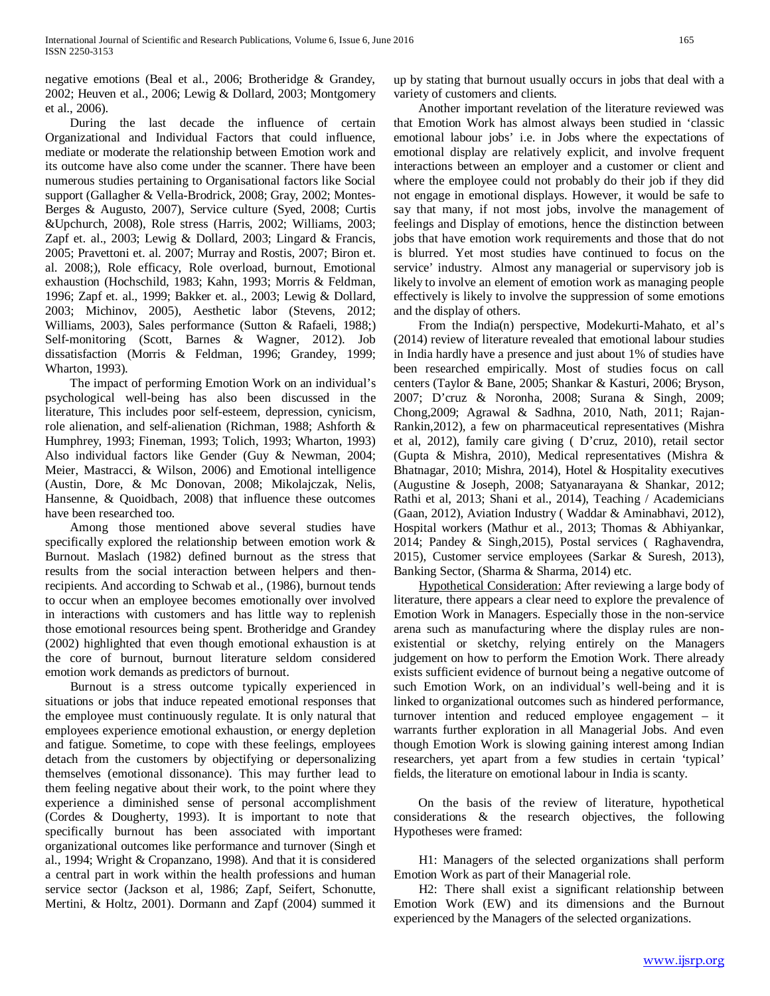negative emotions (Beal et al., 2006; Brotheridge & Grandey, 2002; Heuven et al., 2006; Lewig & Dollard, 2003; Montgomery et al., 2006).

 During the last decade the influence of certain Organizational and Individual Factors that could influence, mediate or moderate the relationship between Emotion work and its outcome have also come under the scanner. There have been numerous studies pertaining to Organisational factors like Social support (Gallagher & Vella-Brodrick, 2008; Gray, 2002; Montes-Berges & Augusto, 2007), Service culture (Syed, 2008; Curtis &Upchurch, 2008), Role stress (Harris, 2002; Williams, 2003; Zapf et. al., 2003; Lewig & Dollard, 2003; Lingard & Francis, 2005; Pravettoni et. al. 2007; Murray and Rostis, 2007; Biron et. al. 2008;), Role efficacy, Role overload, burnout, Emotional exhaustion (Hochschild, 1983; Kahn, 1993; Morris & Feldman, 1996; Zapf et. al., 1999; Bakker et. al., 2003; Lewig & Dollard, 2003; Michinov, 2005), Aesthetic labor (Stevens, 2012; Williams, 2003), Sales performance (Sutton & Rafaeli, 1988;) Self-monitoring (Scott, Barnes & Wagner, 2012). Job dissatisfaction (Morris & Feldman, 1996; Grandey, 1999; Wharton, 1993).

 The impact of performing Emotion Work on an individual's psychological well-being has also been discussed in the literature, This includes poor self-esteem, depression, cynicism, role alienation, and self-alienation (Richman, 1988; Ashforth & Humphrey, 1993; Fineman, 1993; Tolich, 1993; Wharton, 1993) Also individual factors like Gender (Guy & Newman, 2004; Meier, Mastracci, & Wilson, 2006) and Emotional intelligence (Austin, Dore, & Mc Donovan, 2008; Mikolajczak, Nelis, Hansenne, & Quoidbach, 2008) that influence these outcomes have been researched too.

 Among those mentioned above several studies have specifically explored the relationship between emotion work & Burnout. Maslach (1982) defined burnout as the stress that results from the social interaction between helpers and thenrecipients. And according to Schwab et al., (1986), burnout tends to occur when an employee becomes emotionally over involved in interactions with customers and has little way to replenish those emotional resources being spent. Brotheridge and Grandey (2002) highlighted that even though emotional exhaustion is at the core of burnout, burnout literature seldom considered emotion work demands as predictors of burnout.

 Burnout is a stress outcome typically experienced in situations or jobs that induce repeated emotional responses that the employee must continuously regulate. It is only natural that employees experience emotional exhaustion, or energy depletion and fatigue. Sometime, to cope with these feelings, employees detach from the customers by objectifying or depersonalizing themselves (emotional dissonance). This may further lead to them feeling negative about their work, to the point where they experience a diminished sense of personal accomplishment (Cordes & Dougherty, 1993). It is important to note that specifically burnout has been associated with important organizational outcomes like performance and turnover (Singh et al., 1994; Wright & Cropanzano, 1998). And that it is considered a central part in work within the health professions and human service sector (Jackson et al, 1986; Zapf, Seifert, Schonutte, Mertini, & Holtz, 2001). Dormann and Zapf (2004) summed it

up by stating that burnout usually occurs in jobs that deal with a variety of customers and clients.

 Another important revelation of the literature reviewed was that Emotion Work has almost always been studied in 'classic emotional labour jobs' i.e. in Jobs where the expectations of emotional display are relatively explicit, and involve frequent interactions between an employer and a customer or client and where the employee could not probably do their job if they did not engage in emotional displays. However, it would be safe to say that many, if not most jobs, involve the management of feelings and Display of emotions, hence the distinction between jobs that have emotion work requirements and those that do not is blurred. Yet most studies have continued to focus on the service' industry. Almost any managerial or supervisory job is likely to involve an element of emotion work as managing people effectively is likely to involve the suppression of some emotions and the display of others.

 From the India(n) perspective, Modekurti-Mahato, et al's (2014) review of literature revealed that emotional labour studies in India hardly have a presence and just about 1% of studies have been researched empirically. Most of studies focus on call centers (Taylor & Bane, 2005; Shankar & Kasturi, 2006; Bryson, 2007; D'cruz & Noronha, 2008; Surana & Singh, 2009; Chong,2009; Agrawal & Sadhna, 2010, Nath, 2011; Rajan-Rankin,2012), a few on pharmaceutical representatives (Mishra et al, 2012), family care giving ( D'cruz, 2010), retail sector (Gupta & Mishra, 2010), Medical representatives (Mishra & Bhatnagar, 2010; Mishra, 2014), Hotel & Hospitality executives (Augustine & Joseph, 2008; Satyanarayana & Shankar, 2012; Rathi et al, 2013; Shani et al., 2014), Teaching / Academicians (Gaan, 2012), Aviation Industry ( Waddar & Aminabhavi, 2012), Hospital workers (Mathur et al., 2013; Thomas & Abhiyankar, 2014; Pandey & Singh,2015), Postal services ( Raghavendra, 2015), Customer service employees (Sarkar & Suresh, 2013), Banking Sector, (Sharma & Sharma, 2014) etc.

 Hypothetical Consideration: After reviewing a large body of literature, there appears a clear need to explore the prevalence of Emotion Work in Managers. Especially those in the non-service arena such as manufacturing where the display rules are nonexistential or sketchy, relying entirely on the Managers judgement on how to perform the Emotion Work. There already exists sufficient evidence of burnout being a negative outcome of such Emotion Work, on an individual's well-being and it is linked to organizational outcomes such as hindered performance, turnover intention and reduced employee engagement – it warrants further exploration in all Managerial Jobs. And even though Emotion Work is slowing gaining interest among Indian researchers, yet apart from a few studies in certain 'typical' fields, the literature on emotional labour in India is scanty.

 On the basis of the review of literature, hypothetical considerations & the research objectives, the following Hypotheses were framed:

 H1: Managers of the selected organizations shall perform Emotion Work as part of their Managerial role.

 H2: There shall exist a significant relationship between Emotion Work (EW) and its dimensions and the Burnout experienced by the Managers of the selected organizations.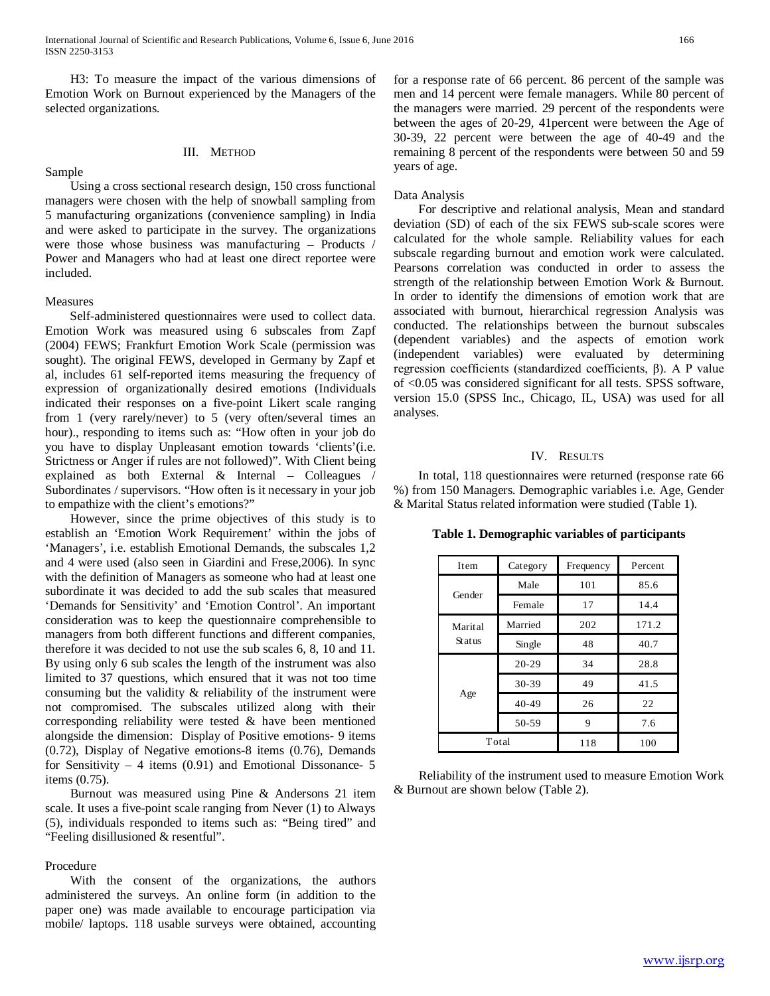H3: To measure the impact of the various dimensions of Emotion Work on Burnout experienced by the Managers of the selected organizations.

## III. METHOD

 Using a cross sectional research design, 150 cross functional managers were chosen with the help of snowball sampling from 5 manufacturing organizations (convenience sampling) in India and were asked to participate in the survey. The organizations were those whose business was manufacturing – Products / Power and Managers who had at least one direct reportee were included.

#### Measures

Sample

 Self-administered questionnaires were used to collect data. Emotion Work was measured using 6 subscales from Zapf (2004) FEWS; Frankfurt Emotion Work Scale (permission was sought). The original FEWS, developed in Germany by Zapf et al, includes 61 self-reported items measuring the frequency of expression of organizationally desired emotions (Individuals indicated their responses on a five-point Likert scale ranging from 1 (very rarely/never) to 5 (very often/several times an hour)., responding to items such as: "How often in your job do you have to display Unpleasant emotion towards 'clients'(i.e. Strictness or Anger if rules are not followed)". With Client being explained as both External & Internal – Colleagues / Subordinates / supervisors. "How often is it necessary in your job to empathize with the client's emotions?"

 However, since the prime objectives of this study is to establish an 'Emotion Work Requirement' within the jobs of 'Managers', i.e. establish Emotional Demands, the subscales 1,2 and 4 were used (also seen in Giardini and Frese,2006). In sync with the definition of Managers as someone who had at least one subordinate it was decided to add the sub scales that measured 'Demands for Sensitivity' and 'Emotion Control'. An important consideration was to keep the questionnaire comprehensible to managers from both different functions and different companies, therefore it was decided to not use the sub scales 6, 8, 10 and 11. By using only 6 sub scales the length of the instrument was also limited to 37 questions, which ensured that it was not too time consuming but the validity & reliability of the instrument were not compromised. The subscales utilized along with their corresponding reliability were tested & have been mentioned alongside the dimension: Display of Positive emotions- 9 items (0.72), Display of Negative emotions-8 items (0.76), Demands for Sensitivity  $-4$  items (0.91) and Emotional Dissonance- 5 items (0.75).

 Burnout was measured using Pine & Andersons 21 item scale. It uses a five-point scale ranging from Never (1) to Always (5), individuals responded to items such as: "Being tired" and "Feeling disillusioned & resentful".

## Procedure

 With the consent of the organizations, the authors administered the surveys. An online form (in addition to the paper one) was made available to encourage participation via mobile/ laptops. 118 usable surveys were obtained, accounting for a response rate of 66 percent. 86 percent of the sample was men and 14 percent were female managers. While 80 percent of the managers were married. 29 percent of the respondents were between the ages of 20-29, 41percent were between the Age of 30-39, 22 percent were between the age of 40-49 and the remaining 8 percent of the respondents were between 50 and 59 years of age.

#### Data Analysis

 For descriptive and relational analysis, Mean and standard deviation (SD) of each of the six FEWS sub-scale scores were calculated for the whole sample. Reliability values for each subscale regarding burnout and emotion work were calculated. Pearsons correlation was conducted in order to assess the strength of the relationship between Emotion Work & Burnout. In order to identify the dimensions of emotion work that are associated with burnout, hierarchical regression Analysis was conducted. The relationships between the burnout subscales (dependent variables) and the aspects of emotion work (independent variables) were evaluated by determining regression coefficients (standardized coefficients, β). A P value of <0.05 was considered significant for all tests. SPSS software, version 15.0 (SPSS Inc., Chicago, IL, USA) was used for all analyses.

## IV. RESULTS

 In total, 118 questionnaires were returned (response rate 66 %) from 150 Managers. Demographic variables i.e. Age, Gender & Marital Status related information were studied (Table 1).

| Item    | Category  | Frequency | Percent |  |
|---------|-----------|-----------|---------|--|
|         | Male      | 101       | 85.6    |  |
| Gender  | Female    | 17        | 14.4    |  |
| Marital | Married   | 202       | 171.2   |  |
| Status  | Single    | 48        | 40.7    |  |
|         | $20 - 29$ | 34        | 28.8    |  |
|         | 30-39     | 49        | 41.5    |  |
| Age     | $40 - 49$ | 26        | 22      |  |
|         | 50-59     | 9         | 7.6     |  |
| Total   |           | 118       | 100     |  |

**Table 1. Demographic variables of participants**

 Reliability of the instrument used to measure Emotion Work & Burnout are shown below (Table 2).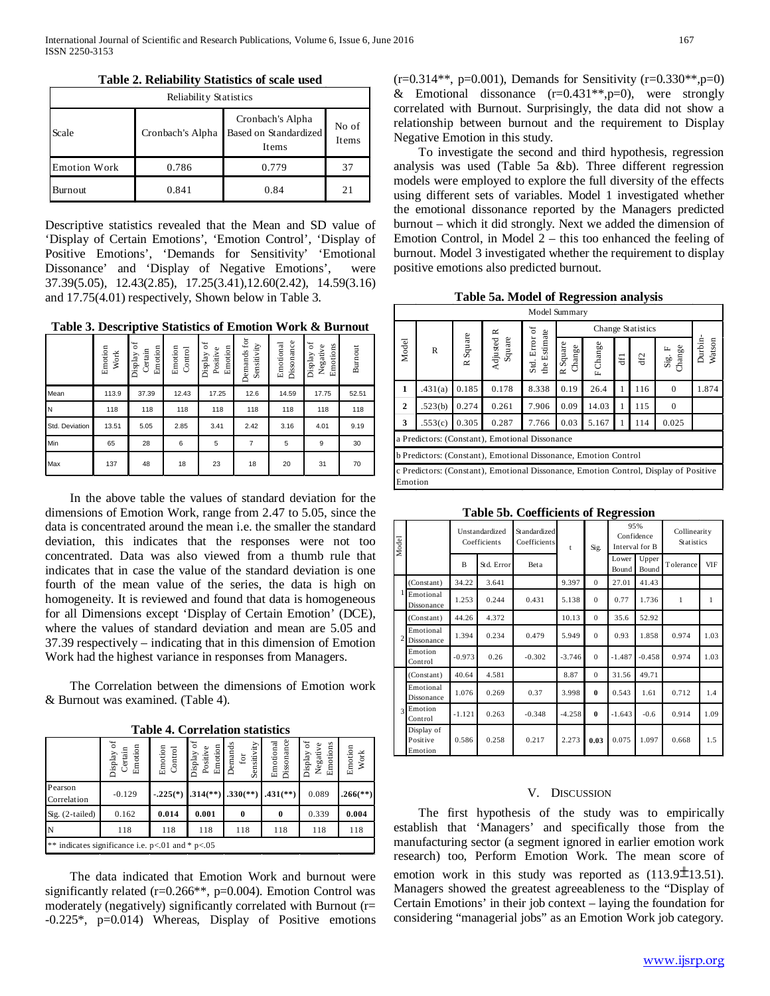| <b>Reliability Statistics</b> |                  |                                                    |                |  |  |  |  |  |
|-------------------------------|------------------|----------------------------------------------------|----------------|--|--|--|--|--|
| Scale                         | Cronbach's Alpha | Cronbach's Alpha<br>Based on Standardized<br>Items | No of<br>Items |  |  |  |  |  |
| <b>Emotion Work</b>           | 0.786            | 0.779                                              | 37             |  |  |  |  |  |
| Burnout                       | 0.841            | 0.84                                               | 21             |  |  |  |  |  |

Descriptive statistics revealed that the Mean and SD value of 'Display of Certain Emotions', 'Emotion Control', 'Display of Positive Emotions', 'Demands for Sensitivity' 'Emotional Dissonance' and 'Display of Negative Emotions', were 37.39(5.05), 12.43(2.85), 17.25(3.41),12.60(2.42), 14.59(3.16) and 17.75(4.01) respectively, Shown below in Table 3.

**Table 3. Descriptive Statistics of Emotion Work & Burnout**

|                | Emotion<br>Work | $\sigma$<br>Emotion<br>Certain<br>Display | Emotion<br>Control | ð<br>Emotion<br>Positive<br>Display | Demands for<br>Sensitivity | Dissonance<br>Emotional | ðf<br>Emotions<br>Negative<br>Display | Burnout |
|----------------|-----------------|-------------------------------------------|--------------------|-------------------------------------|----------------------------|-------------------------|---------------------------------------|---------|
| Mean           | 113.9           | 37.39                                     | 12.43              | 17.25                               | 12.6                       | 14.59                   | 17.75                                 | 52.51   |
| N              | 118             | 118                                       | 118                | 118                                 | 118                        | 118                     | 118                                   | 118     |
| Std. Deviation | 13.51           | 5.05                                      | 2.85               | 3.41                                | 2.42                       | 3.16                    | 4.01                                  | 9.19    |
| Min            | 65              | 28                                        | 6                  | 5                                   | $\overline{7}$             | 5                       | 9                                     | 30      |
| Max            | 137             | 48                                        | 18                 | 23                                  | 18                         | 20                      | 31                                    | 70      |

 In the above table the values of standard deviation for the dimensions of Emotion Work, range from 2.47 to 5.05, since the data is concentrated around the mean i.e. the smaller the standard deviation, this indicates that the responses were not too concentrated. Data was also viewed from a thumb rule that indicates that in case the value of the standard deviation is one fourth of the mean value of the series, the data is high on homogeneity. It is reviewed and found that data is homogeneous for all Dimensions except 'Display of Certain Emotion' (DCE), where the values of standard deviation and mean are 5.05 and 37.39 respectively – indicating that in this dimension of Emotion Work had the highest variance in responses from Managers.

 The Correlation between the dimensions of Emotion work & Burnout was examined. (Table 4).

|                                                    | ō<br>Emotion<br>Certain<br>Display | Emotion<br>Control | ð<br>Emotion<br>Display o<br>Positive | Sensitivity<br>Demands<br>for | Dissonance<br>Emotional  | ð<br>Emotions<br>Negative<br>Display | Emotion<br>Work        |  |  |  |
|----------------------------------------------------|------------------------------------|--------------------|---------------------------------------|-------------------------------|--------------------------|--------------------------------------|------------------------|--|--|--|
| Pearson<br>Correlation                             | $-0.129$                           | $-.225(*)$         | $.314$ <sup>(**)</sup> )              | $.330$ <sup>(**)</sup> )      | $.431$ <sup>(**)</sup> ) | 0.089                                | $.266$ <sup>(**)</sup> |  |  |  |
| Sig. $(2-tailed)$                                  | 0.162                              | 0.014              | 0.001                                 | 0                             | $\bf{0}$                 | 0.339                                | 0.004                  |  |  |  |
| N                                                  | 118                                | 118                | 118                                   | 118                           | 118                      | 118                                  | 118                    |  |  |  |
| ** indicates significance i.e. $p<01$ and * $p<05$ |                                    |                    |                                       |                               |                          |                                      |                        |  |  |  |

**Table 4. Correlation statistics**

 The data indicated that Emotion Work and burnout were significantly related (r=0.266\*\*, p=0.004). Emotion Control was moderately (negatively) significantly correlated with Burnout (r= -0.225\*, p=0.014) Whereas, Display of Positive emotions

 $(r=0.314**, p=0.001)$ , Demands for Sensitivity  $(r=0.330**, p=0)$ & Emotional dissonance  $(r=0.431**, p=0)$ , were strongly correlated with Burnout. Surprisingly, the data did not show a relationship between burnout and the requirement to Display Negative Emotion in this study.

 To investigate the second and third hypothesis, regression analysis was used (Table 5a &b). Three different regression models were employed to explore the full diversity of the effects using different sets of variables. Model 1 investigated whether the emotional dissonance reported by the Managers predicted burnout – which it did strongly. Next we added the dimension of Emotion Control, in Model 2 – this too enhanced the feeling of burnout. Model 3 investigated whether the requirement to display positive emotions also predicted burnout.

**Table 5a. Model of Regression analysis**

| Model Summary                                                   |                                                                                                 |          |                                                |                               |                               |          |   |     |                                       |                   |
|-----------------------------------------------------------------|-------------------------------------------------------------------------------------------------|----------|------------------------------------------------|-------------------------------|-------------------------------|----------|---|-----|---------------------------------------|-------------------|
|                                                                 |                                                                                                 |          |                                                |                               | Change Statistics             |          |   |     |                                       |                   |
| Model                                                           | $\mathbb{R}$                                                                                    | R Square | Adjusted R<br>Square                           | Std. Error of<br>the Estimate | Square<br>Change<br>$\approx$ | F Change | E | df2 | Change<br>$\mathrm{Sig}.\ \mathrm{F}$ | Durbin-<br>Watson |
| 1                                                               | .431(a)                                                                                         | 0.185    | 0.178                                          | 8.338                         | 0.19                          | 26.4     |   | 116 | $\Omega$                              | 1.874             |
| $\overline{2}$                                                  | .523(b)                                                                                         | 0.274    | 0.261                                          | 7.906                         | 0.09                          | 14.03    | 1 | 115 | $\Omega$                              |                   |
| 3                                                               | .553(c)                                                                                         | 0.305    | 0.287                                          | 7.766                         | 0.03                          | 5.167    |   | 114 | 0.025                                 |                   |
|                                                                 |                                                                                                 |          | a Predictors: (Constant), Emotional Dissonance |                               |                               |          |   |     |                                       |                   |
| b Predictors: (Constant), Emotional Dissonance, Emotion Control |                                                                                                 |          |                                                |                               |                               |          |   |     |                                       |                   |
|                                                                 | c Predictors: (Constant), Emotional Dissonance, Emotion Control, Display of Positive<br>Emotion |          |                                                |                               |                               |          |   |     |                                       |                   |

**Table 5b. Coefficients of Regression**

| Model          |                                   | Unstandardized<br>Coefficients |            | Standardized<br>Coefficients | t        | Sig.         | 95%<br>Confidence<br>Interval for B |                | Collinearity<br><b>Statistics</b> |            |
|----------------|-----------------------------------|--------------------------------|------------|------------------------------|----------|--------------|-------------------------------------|----------------|-----------------------------------|------------|
|                |                                   | B                              | Std. Error | Beta                         |          |              | Lower<br>Bound                      | Upper<br>Bound | Tolerance                         | <b>VIF</b> |
|                | (Constant)                        | 34.22                          | 3.641      |                              | 9.397    | $\mathbf{0}$ | 27.01                               | 41.43          |                                   |            |
|                | Emotional<br>Dissonance           | 1.253                          | 0.244      | 0.431                        | 5.138    | $\Omega$     | 0.77                                | 1.736          | 1                                 | 1          |
|                | (Constant)                        | 44.26                          | 4.372      |                              | 10.13    | $\mathbf{0}$ | 35.6                                | 52.92          |                                   |            |
| $\overline{2}$ | Emotional<br>Dissonance           | 1.394                          | 0.234      | 0.479                        | 5.949    | $\Omega$     | 0.93                                | 1.858          | 0.974                             | 1.03       |
|                | Emotion<br>Control                | $-0.973$                       | 0.26       | $-0.302$                     | $-3.746$ | $\Omega$     | $-1.487$                            | $-0.458$       | 0.974                             | 1.03       |
|                | (Constant)                        | 40.64                          | 4.581      |                              | 8.87     | $\mathbf{0}$ | 31.56                               | 49.71          |                                   |            |
|                | Emotional<br>Dissonance           | 1.076                          | 0.269      | 0.37                         | 3.998    | $\bf{0}$     | 0.543                               | 1.61           | 0.712                             | 1.4        |
| $\overline{3}$ | Emotion<br>Control                | $-1.121$                       | 0.263      | $-0.348$                     | $-4.258$ | $\bf{0}$     | $-1.643$                            | $-0.6$         | 0.914                             | 1.09       |
|                | Display of<br>Positive<br>Emotion | 0.586                          | 0.258      | 0.217                        | 2.273    | 0.03         | 0.075                               | 1.097          | 0.668                             | 1.5        |

## V. DISCUSSION

 The first hypothesis of the study was to empirically establish that 'Managers' and specifically those from the manufacturing sector (a segment ignored in earlier emotion work research) too, Perform Emotion Work. The mean score of emotion work in this study was reported as  $(113.9 \pm 13.51)$ . Managers showed the greatest agreeableness to the "Display of Certain Emotions' in their job context – laying the foundation for considering "managerial jobs" as an Emotion Work job category.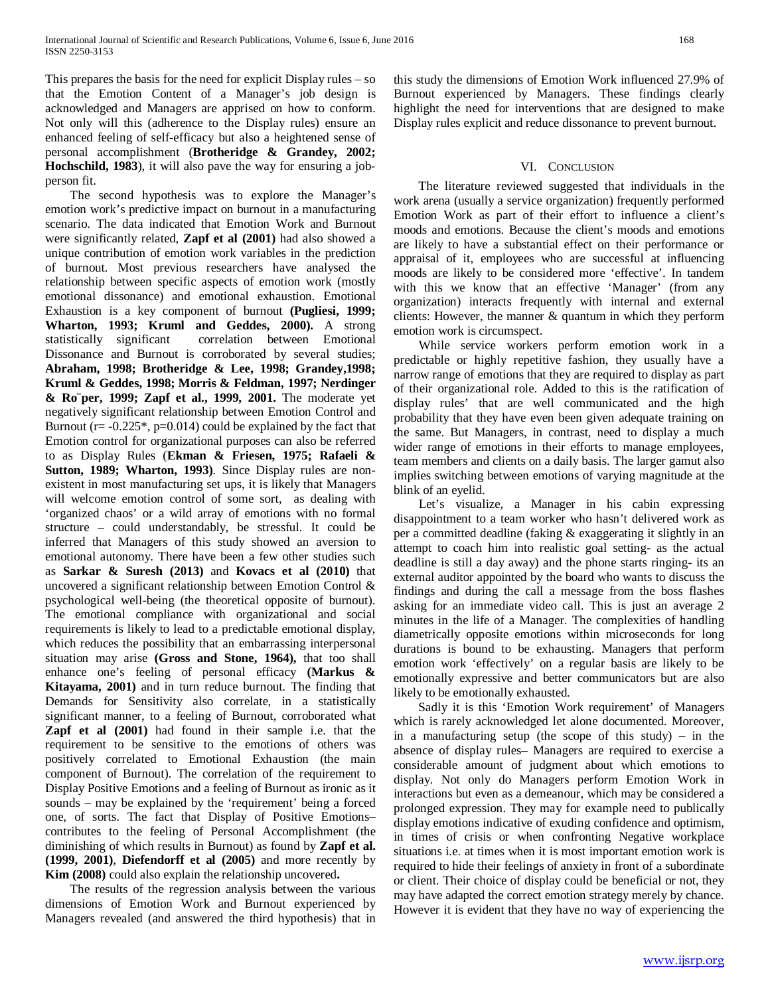This prepares the basis for the need for explicit Display rules – so that the Emotion Content of a Manager's job design is acknowledged and Managers are apprised on how to conform. Not only will this (adherence to the Display rules) ensure an enhanced feeling of self-efficacy but also a heightened sense of personal accomplishment (**Brotheridge & Grandey, 2002; Hochschild, 1983**), it will also pave the way for ensuring a jobperson fit.

 The second hypothesis was to explore the Manager's emotion work's predictive impact on burnout in a manufacturing scenario. The data indicated that Emotion Work and Burnout were significantly related, **Zapf et al (2001)** had also showed a unique contribution of emotion work variables in the prediction of burnout. Most previous researchers have analysed the relationship between specific aspects of emotion work (mostly emotional dissonance) and emotional exhaustion. Emotional Exhaustion is a key component of burnout **(Pugliesi, 1999; Wharton, 1993; Kruml and Geddes, 2000).** A strong statistically significant correlation between Emotional Dissonance and Burnout is corroborated by several studies; **Abraham, 1998; Brotheridge & Lee, 1998; Grandey,1998; Kruml & Geddes, 1998; Morris & Feldman, 1997; Nerdinger & Ro¨per, 1999; Zapf et al., 1999, 2001.** The moderate yet negatively significant relationship between Emotion Control and Burnout ( $r = -0.225^*$ ,  $p = 0.014$ ) could be explained by the fact that Emotion control for organizational purposes can also be referred to as Display Rules (**Ekman & Friesen, 1975; Rafaeli & Sutton, 1989; Wharton, 1993)**. Since Display rules are nonexistent in most manufacturing set ups, it is likely that Managers will welcome emotion control of some sort, as dealing with 'organized chaos' or a wild array of emotions with no formal structure – could understandably, be stressful. It could be inferred that Managers of this study showed an aversion to emotional autonomy. There have been a few other studies such as **Sarkar & Suresh (2013)** and **Kovacs et al (2010)** that uncovered a significant relationship between Emotion Control & psychological well-being (the theoretical opposite of burnout). The emotional compliance with organizational and social requirements is likely to lead to a predictable emotional display, which reduces the possibility that an embarrassing interpersonal situation may arise **(Gross and Stone, 1964),** that too shall enhance one's feeling of personal efficacy **(Markus & Kitayama, 2001)** and in turn reduce burnout. The finding that Demands for Sensitivity also correlate, in a statistically significant manner, to a feeling of Burnout, corroborated what **Zapf et al (2001)** had found in their sample i.e. that the requirement to be sensitive to the emotions of others was positively correlated to Emotional Exhaustion (the main component of Burnout). The correlation of the requirement to Display Positive Emotions and a feeling of Burnout as ironic as it sounds – may be explained by the 'requirement' being a forced one, of sorts. The fact that Display of Positive Emotions– contributes to the feeling of Personal Accomplishment (the diminishing of which results in Burnout) as found by **Zapf et al. (1999, 2001)**, **Diefendorff et al (2005)** and more recently by **Kim (2008)** could also explain the relationship uncovered**.**

 The results of the regression analysis between the various dimensions of Emotion Work and Burnout experienced by Managers revealed (and answered the third hypothesis) that in this study the dimensions of Emotion Work influenced 27.9% of Burnout experienced by Managers. These findings clearly highlight the need for interventions that are designed to make Display rules explicit and reduce dissonance to prevent burnout.

## VI. CONCLUSION

 The literature reviewed suggested that individuals in the work arena (usually a service organization) frequently performed Emotion Work as part of their effort to influence a client's moods and emotions. Because the client's moods and emotions are likely to have a substantial effect on their performance or appraisal of it, employees who are successful at influencing moods are likely to be considered more 'effective'. In tandem with this we know that an effective 'Manager' (from any organization) interacts frequently with internal and external clients: However, the manner & quantum in which they perform emotion work is circumspect.

 While service workers perform emotion work in a predictable or highly repetitive fashion, they usually have a narrow range of emotions that they are required to display as part of their organizational role. Added to this is the ratification of display rules' that are well communicated and the high probability that they have even been given adequate training on the same. But Managers, in contrast, need to display a much wider range of emotions in their efforts to manage employees, team members and clients on a daily basis. The larger gamut also implies switching between emotions of varying magnitude at the blink of an eyelid.

 Let's visualize, a Manager in his cabin expressing disappointment to a team worker who hasn't delivered work as per a committed deadline (faking & exaggerating it slightly in an attempt to coach him into realistic goal setting- as the actual deadline is still a day away) and the phone starts ringing- its an external auditor appointed by the board who wants to discuss the findings and during the call a message from the boss flashes asking for an immediate video call. This is just an average 2 minutes in the life of a Manager. The complexities of handling diametrically opposite emotions within microseconds for long durations is bound to be exhausting. Managers that perform emotion work 'effectively' on a regular basis are likely to be emotionally expressive and better communicators but are also likely to be emotionally exhausted.

 Sadly it is this 'Emotion Work requirement' of Managers which is rarely acknowledged let alone documented. Moreover, in a manufacturing setup (the scope of this study) – in the absence of display rules– Managers are required to exercise a considerable amount of judgment about which emotions to display. Not only do Managers perform Emotion Work in interactions but even as a demeanour, which may be considered a prolonged expression. They may for example need to publically display emotions indicative of exuding confidence and optimism, in times of crisis or when confronting Negative workplace situations i.e. at times when it is most important emotion work is required to hide their feelings of anxiety in front of a subordinate or client. Their choice of display could be beneficial or not, they may have adapted the correct emotion strategy merely by chance. However it is evident that they have no way of experiencing the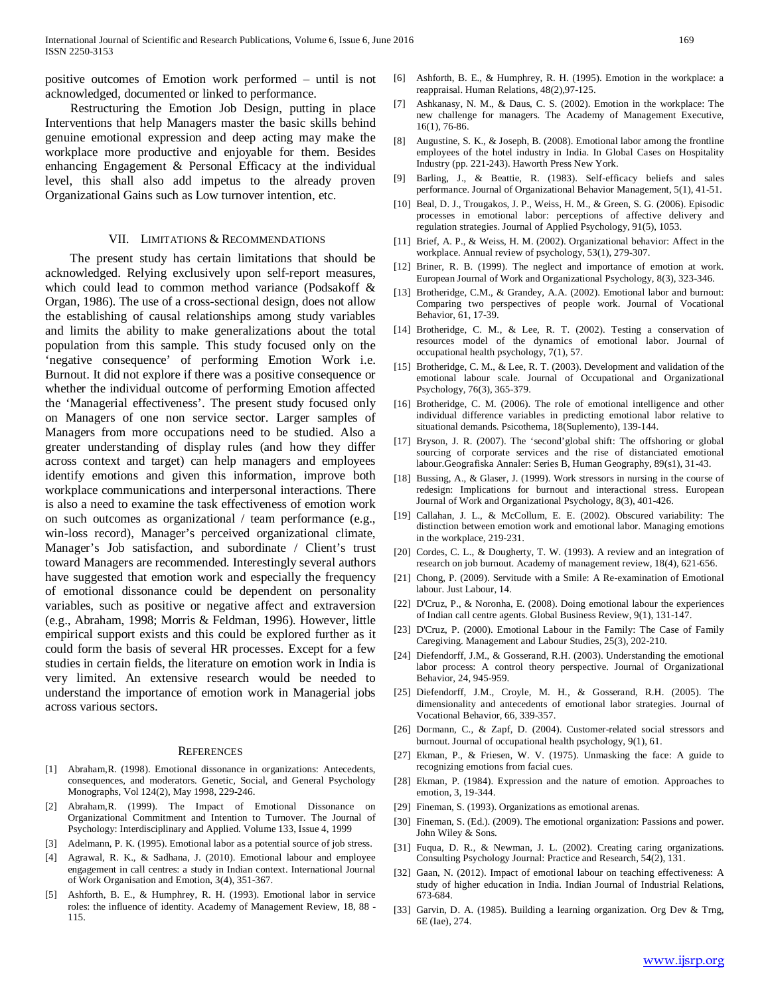positive outcomes of Emotion work performed – until is not acknowledged, documented or linked to performance.

 Restructuring the Emotion Job Design, putting in place Interventions that help Managers master the basic skills behind genuine emotional expression and deep acting may make the workplace more productive and enjoyable for them. Besides enhancing Engagement & Personal Efficacy at the individual level, this shall also add impetus to the already proven Organizational Gains such as Low turnover intention, etc.

#### VII. LIMITATIONS & RECOMMENDATIONS

 The present study has certain limitations that should be acknowledged. Relying exclusively upon self-report measures, which could lead to common method variance (Podsakoff & Organ, 1986). The use of a cross-sectional design, does not allow the establishing of causal relationships among study variables and limits the ability to make generalizations about the total population from this sample. This study focused only on the 'negative consequence' of performing Emotion Work i.e. Burnout. It did not explore if there was a positive consequence or whether the individual outcome of performing Emotion affected the 'Managerial effectiveness'. The present study focused only on Managers of one non service sector. Larger samples of Managers from more occupations need to be studied. Also a greater understanding of display rules (and how they differ across context and target) can help managers and employees identify emotions and given this information, improve both workplace communications and interpersonal interactions. There is also a need to examine the task effectiveness of emotion work on such outcomes as organizational / team performance (e.g., win-loss record), Manager's perceived organizational climate, Manager's Job satisfaction, and subordinate / Client's trust toward Managers are recommended. Interestingly several authors have suggested that emotion work and especially the frequency of emotional dissonance could be dependent on personality variables, such as positive or negative affect and extraversion (e.g., Abraham, 1998; Morris & Feldman, 1996). However, little empirical support exists and this could be explored further as it could form the basis of several HR processes. Except for a few studies in certain fields, the literature on emotion work in India is very limited. An extensive research would be needed to understand the importance of emotion work in Managerial jobs across various sectors.

#### **REFERENCES**

- [1] Abraham,R. (1998). Emotional dissonance in organizations: Antecedents, consequences, and moderators. Genetic, Social, and General Psychology Monographs, Vol 124(2), May 1998, 229-246.
- Abraham,R. (1999). The Impact of Emotional Dissonance on Organizational Commitment and Intention to Turnover. The Journal of Psychology: Interdisciplinary and Applied. Volume 133, Issue 4, 1999
- [3] Adelmann, P. K. (1995). Emotional labor as a potential source of job stress.
- [4] Agrawal, R. K., & Sadhana, J. (2010). Emotional labour and employee engagement in call centres: a study in Indian context. International Journal of Work Organisation and Emotion, 3(4), 351-367.
- [5] Ashforth, B. E., & Humphrey, R. H. (1993). Emotional labor in service roles: the influence of identity. Academy of Management Review, 18, 88 - 115.
- [6] Ashforth, B. E., & Humphrey, R. H. (1995). Emotion in the workplace: a reappraisal. Human Relations, 48(2),97-125.
- [7] Ashkanasy, N. M., & Daus, C. S. (2002). Emotion in the workplace: The new challenge for managers. The Academy of Management Executive, 16(1), 76-86.
- [8] Augustine, S. K., & Joseph, B. (2008). Emotional labor among the frontline employees of the hotel industry in India. In Global Cases on Hospitality Industry (pp. 221-243). Haworth Press New York.
- [9] Barling, J., & Beattie, R. (1983). Self-efficacy beliefs and sales performance. Journal of Organizational Behavior Management, 5(1), 41-51.
- [10] Beal, D. J., Trougakos, J. P., Weiss, H. M., & Green, S. G. (2006). Episodic processes in emotional labor: perceptions of affective delivery and regulation strategies. Journal of Applied Psychology, 91(5), 1053.
- [11] Brief, A. P., & Weiss, H. M. (2002). Organizational behavior: Affect in the workplace. Annual review of psychology, 53(1), 279-307.
- [12] Briner, R. B. (1999). The neglect and importance of emotion at work. European Journal of Work and Organizational Psychology, 8(3), 323-346.
- [13] Brotheridge, C.M., & Grandey, A.A. (2002). Emotional labor and burnout: Comparing two perspectives of people work. Journal of Vocational Behavior, 61, 17-39.
- [14] Brotheridge, C. M., & Lee, R. T. (2002). Testing a conservation of resources model of the dynamics of emotional labor. Journal of occupational health psychology, 7(1), 57.
- [15] Brotheridge, C. M., & Lee, R. T. (2003). Development and validation of the emotional labour scale. Journal of Occupational and Organizational Psychology, 76(3), 365-379.
- [16] Brotheridge, C. M. (2006). The role of emotional intelligence and other individual difference variables in predicting emotional labor relative to situational demands. Psicothema, 18(Suplemento), 139-144.
- [17] Bryson, J. R. (2007). The 'second'global shift: The offshoring or global sourcing of corporate services and the rise of distanciated emotional labour.Geografiska Annaler: Series B, Human Geography, 89(s1), 31-43.
- [18] Bussing, A., & Glaser, J. (1999). Work stressors in nursing in the course of redesign: Implications for burnout and interactional stress. European Journal of Work and Organizational Psychology, 8(3), 401-426.
- [19] Callahan, J. L., & McCollum, E. E. (2002). Obscured variability: The distinction between emotion work and emotional labor. Managing emotions in the workplace, 219-231.
- [20] Cordes, C. L., & Dougherty, T. W. (1993). A review and an integration of research on job burnout. Academy of management review, 18(4), 621-656.
- [21] Chong, P. (2009). Servitude with a Smile: A Re-examination of Emotional labour. Just Labour, 14.
- [22] D'Cruz, P., & Noronha, E. (2008). Doing emotional labour the experiences of Indian call centre agents. Global Business Review, 9(1), 131-147.
- [23] D'Cruz, P. (2000). Emotional Labour in the Family: The Case of Family Caregiving. Management and Labour Studies, 25(3), 202-210.
- [24] Diefendorff, J.M., & Gosserand, R.H. (2003). Understanding the emotional labor process: A control theory perspective. Journal of Organizational Behavior, 24, 945-959.
- [25] Diefendorff, J.M., Croyle, M. H., & Gosserand, R.H. (2005). The dimensionality and antecedents of emotional labor strategies. Journal of Vocational Behavior, 66, 339-357.
- [26] Dormann, C., & Zapf, D. (2004). Customer-related social stressors and burnout. Journal of occupational health psychology, 9(1), 61.
- [27] Ekman, P., & Friesen, W. V. (1975). Unmasking the face: A guide to recognizing emotions from facial cues.
- [28] Ekman, P. (1984). Expression and the nature of emotion. Approaches to emotion, 3, 19-344.
- [29] Fineman, S. (1993). Organizations as emotional arenas.
- [30] Fineman, S. (Ed.). (2009). The emotional organization: Passions and power. John Wiley & Sons.
- [31] Fuqua, D. R., & Newman, J. L. (2002). Creating caring organizations. Consulting Psychology Journal: Practice and Research, 54(2), 131.
- [32] Gaan, N. (2012). Impact of emotional labour on teaching effectiveness: A study of higher education in India. Indian Journal of Industrial Relations, 673-684.
- [33] Garvin, D. A. (1985). Building a learning organization. Org Dev & Trng, 6E (Iae), 274.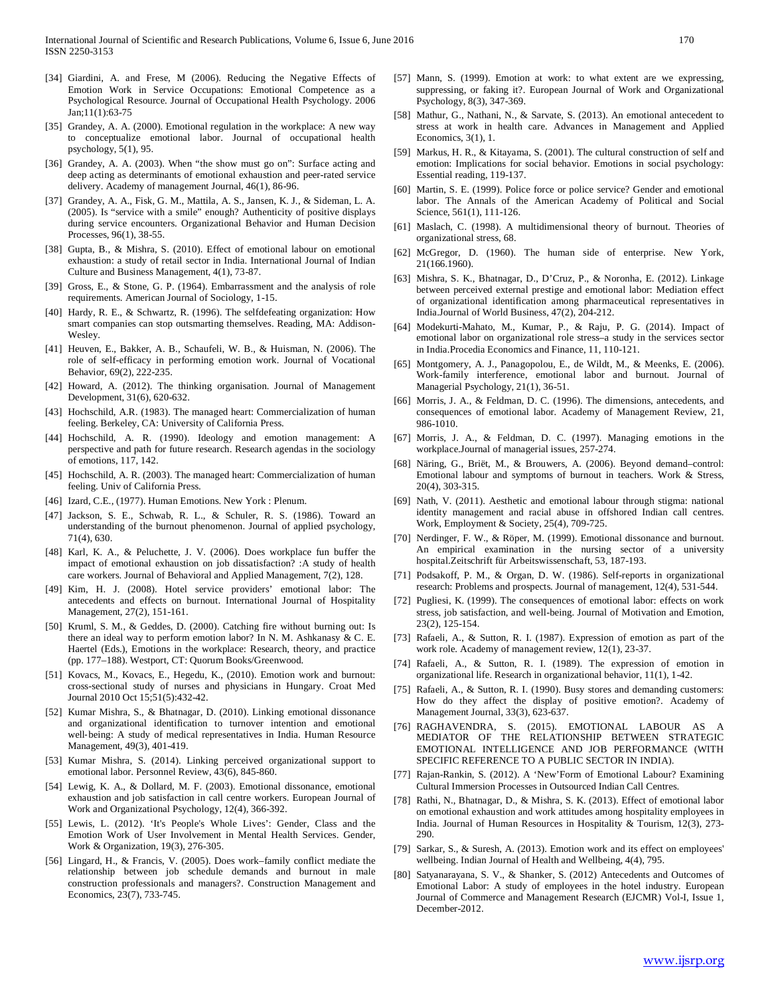- [34] Giardini, A. and Frese, M (2006). Reducing the Negative Effects of Emotion Work in Service Occupations: Emotional Competence as a Psychological Resource. Journal of Occupational Health Psychology. 2006 Jan;11(1):63-75
- [35] Grandey, A. A. (2000). Emotional regulation in the workplace: A new way to conceptualize emotional labor. Journal of occupational health psychology, 5(1), 95.
- [36] Grandey, A. A. (2003). When "the show must go on": Surface acting and deep acting as determinants of emotional exhaustion and peer-rated service delivery. Academy of management Journal, 46(1), 86-96.
- [37] Grandey, A. A., Fisk, G. M., Mattila, A. S., Jansen, K. J., & Sideman, L. A. (2005). Is "service with a smile" enough? Authenticity of positive displays during service encounters. Organizational Behavior and Human Decision Processes, 96(1), 38-55.
- [38] Gupta, B., & Mishra, S. (2010). Effect of emotional labour on emotional exhaustion: a study of retail sector in India. International Journal of Indian Culture and Business Management, 4(1), 73-87.
- [39] Gross, E., & Stone, G. P. (1964). Embarrassment and the analysis of role requirements. American Journal of Sociology, 1-15.
- [40] Hardy, R. E., & Schwartz, R. (1996). The selfdefeating organization: How smart companies can stop outsmarting themselves. Reading, MA: Addison-Wesley.
- [41] Heuven, E., Bakker, A. B., Schaufeli, W. B., & Huisman, N. (2006). The role of self-efficacy in performing emotion work. Journal of Vocational Behavior, 69(2), 222-235.
- [42] Howard, A. (2012). The thinking organisation. Journal of Management Development, 31(6), 620-632.
- [43] Hochschild, A.R. (1983). The managed heart: Commercialization of human feeling. Berkeley, CA: University of California Press.
- [44] Hochschild, A. R. (1990). Ideology and emotion management: A perspective and path for future research. Research agendas in the sociology of emotions, 117, 142.
- [45] Hochschild, A. R. (2003). The managed heart: Commercialization of human feeling. Univ of California Press.
- [46] Izard, C.E., (1977). Human Emotions. New York : Plenum.
- [47] Jackson, S. E., Schwab, R. L., & Schuler, R. S. (1986). Toward an understanding of the burnout phenomenon. Journal of applied psychology, 71(4), 630.
- [48] Karl, K. A., & Peluchette, J. V. (2006). Does workplace fun buffer the impact of emotional exhaustion on job dissatisfaction? :A study of health care workers. Journal of Behavioral and Applied Management, 7(2), 128.
- [49] Kim, H. J. (2008). Hotel service providers' emotional labor: The antecedents and effects on burnout. International Journal of Hospitality Management, 27(2), 151-161.
- [50] Kruml, S. M., & Geddes, D. (2000). Catching fire without burning out: Is there an ideal way to perform emotion labor? In N. M. Ashkanasy & C. E. Haertel (Eds.), Emotions in the workplace: Research, theory, and practice (pp. 177–188). Westport, CT: Quorum Books/Greenwood.
- [51] Kovacs, M., Kovacs, E., Hegedu, K., (2010). Emotion work and burnout: cross-sectional study of nurses and physicians in Hungary. Croat Med Journal 2010 Oct 15;51(5):432-42.
- [52] Kumar Mishra, S., & Bhatnagar, D. (2010). Linking emotional dissonance and organizational identification to turnover intention and emotional well-being: A study of medical representatives in India. Human Resource Management, 49(3), 401-419.
- [53] Kumar Mishra, S. (2014). Linking perceived organizational support to emotional labor. Personnel Review, 43(6), 845-860.
- [54] Lewig, K. A., & Dollard, M. F. (2003). Emotional dissonance, emotional exhaustion and job satisfaction in call centre workers. European Journal of Work and Organizational Psychology, 12(4), 366-392.
- [55] Lewis, L. (2012). 'It's People's Whole Lives': Gender, Class and the Emotion Work of User Involvement in Mental Health Services. Gender, Work & Organization, 19(3), 276-305.
- [56] Lingard, H., & Francis, V. (2005). Does work–family conflict mediate the relationship between job schedule demands and burnout in male construction professionals and managers?. Construction Management and Economics, 23(7), 733-745.
- [57] Mann, S. (1999). Emotion at work: to what extent are we expressing, suppressing, or faking it?. European Journal of Work and Organizational Psychology, 8(3), 347-369.
- [58] Mathur, G., Nathani, N., & Sarvate, S. (2013). An emotional antecedent to stress at work in health care. Advances in Management and Applied Economics, 3(1), 1.
- [59] Markus, H. R., & Kitayama, S. (2001). The cultural construction of self and emotion: Implications for social behavior. Emotions in social psychology: Essential reading, 119-137.
- [60] Martin, S. E. (1999). Police force or police service? Gender and emotional labor. The Annals of the American Academy of Political and Social Science, 561(1), 111-126.
- [61] Maslach, C. (1998). A multidimensional theory of burnout. Theories of organizational stress, 68.
- [62] McGregor, D. (1960). The human side of enterprise. New York, 21(166.1960).
- [63] Mishra, S. K., Bhatnagar, D., D'Cruz, P., & Noronha, E. (2012). Linkage between perceived external prestige and emotional labor: Mediation effect of organizational identification among pharmaceutical representatives in India.Journal of World Business, 47(2), 204-212.
- [64] Modekurti-Mahato, M., Kumar, P., & Raju, P. G. (2014). Impact of emotional labor on organizational role stress–a study in the services sector in India.Procedia Economics and Finance, 11, 110-121.
- [65] Montgomery, A. J., Panagopolou, E., de Wildt, M., & Meenks, E. (2006). Work-family interference, emotional labor and burnout. Journal of Managerial Psychology, 21(1), 36-51.
- [66] Morris, J. A., & Feldman, D. C. (1996). The dimensions, antecedents, and consequences of emotional labor. Academy of Management Review, 21, 986-1010.
- [67] Morris, J. A., & Feldman, D. C. (1997). Managing emotions in the workplace.Journal of managerial issues, 257-274.
- [68] Näring, G., Briët, M., & Brouwers, A. (2006). Beyond demand–control: Emotional labour and symptoms of burnout in teachers. Work & Stress, 20(4), 303-315.
- [69] Nath, V. (2011). Aesthetic and emotional labour through stigma: national identity management and racial abuse in offshored Indian call centres. Work, Employment & Society, 25(4), 709-725.
- [70] Nerdinger, F. W., & Röper, M. (1999). Emotional dissonance and burnout. An empirical examination in the nursing sector of a university hospital.Zeitschrift für Arbeitswissenschaft, 53, 187-193.
- [71] Podsakoff, P. M., & Organ, D. W. (1986). Self-reports in organizational research: Problems and prospects. Journal of management, 12(4), 531-544.
- [72] Pugliesi, K. (1999). The consequences of emotional labor: effects on work stress, job satisfaction, and well-being. Journal of Motivation and Emotion, 23(2), 125-154.
- [73] Rafaeli, A., & Sutton, R. I. (1987). Expression of emotion as part of the work role. Academy of management review, 12(1), 23-37.
- [74] Rafaeli, A., & Sutton, R. I. (1989). The expression of emotion in organizational life. Research in organizational behavior, 11(1), 1-42.
- [75] Rafaeli, A., & Sutton, R. I. (1990). Busy stores and demanding customers: How do they affect the display of positive emotion?. Academy of Management Journal, 33(3), 623-637.
- [76] RAGHAVENDRA, S. (2015). EMOTIONAL LABOUR AS A MEDIATOR OF THE RELATIONSHIP BETWEEN STRATEGIC EMOTIONAL INTELLIGENCE AND JOB PERFORMANCE (WITH SPECIFIC REFERENCE TO A PUBLIC SECTOR IN INDIA).
- [77] Rajan-Rankin, S. (2012). A 'New'Form of Emotional Labour? Examining Cultural Immersion Processes in Outsourced Indian Call Centres.
- [78] Rathi, N., Bhatnagar, D., & Mishra, S. K. (2013). Effect of emotional labor on emotional exhaustion and work attitudes among hospitality employees in India. Journal of Human Resources in Hospitality & Tourism, 12(3), 273- 290.
- [79] Sarkar, S., & Suresh, A. (2013). Emotion work and its effect on employees' wellbeing. Indian Journal of Health and Wellbeing, 4(4), 795.
- [80] Satyanarayana, S. V., & Shanker, S. (2012) Antecedents and Outcomes of Emotional Labor: A study of employees in the hotel industry. European Journal of Commerce and Management Research (EJCMR) Vol-I, Issue 1, December-2012.